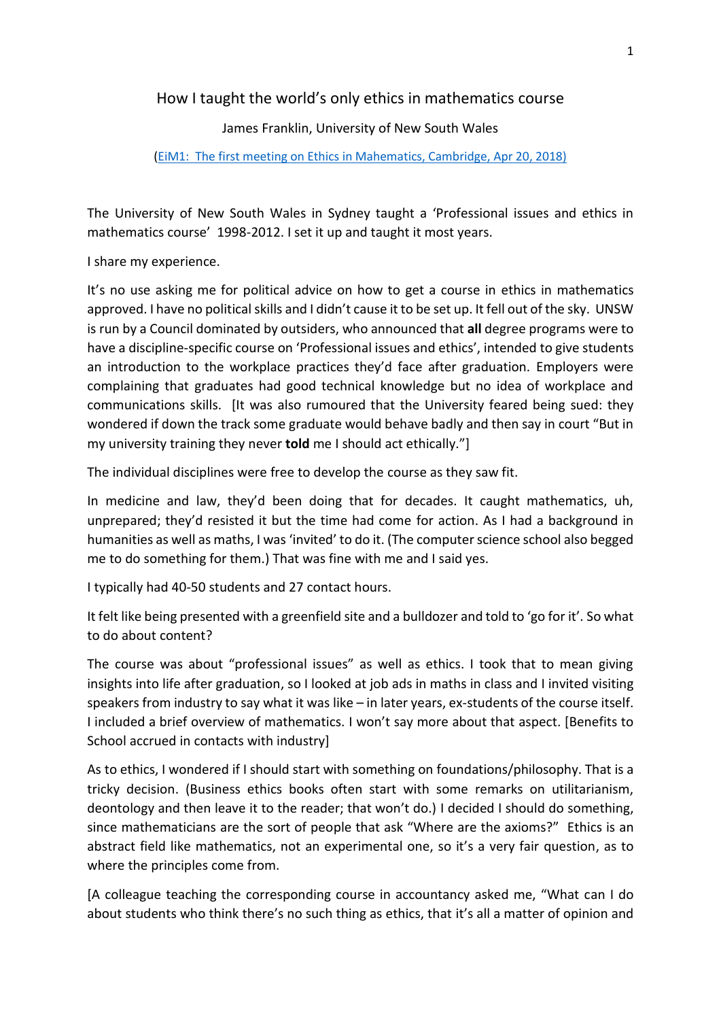How I taught the world's only ethics in mathematics course

James Franklin, University of New South Wales

## [\(EiM1: The first meeting on Ethics in Mahematics, Cambridge, Apr 20, 2018\)](http://www.ethics.maths.cam.ac.uk/EiM1/)

The University of New South Wales in Sydney taught a 'Professional issues and ethics in mathematics course' 1998-2012. I set it up and taught it most years.

I share my experience.

It's no use asking me for political advice on how to get a course in ethics in mathematics approved. I have no political skills and I didn't cause it to be set up. It fell out of the sky. UNSW is run by a Council dominated by outsiders, who announced that **all** degree programs were to have a discipline-specific course on 'Professional issues and ethics', intended to give students an introduction to the workplace practices they'd face after graduation. Employers were complaining that graduates had good technical knowledge but no idea of workplace and communications skills. [It was also rumoured that the University feared being sued: they wondered if down the track some graduate would behave badly and then say in court "But in my university training they never **told** me I should act ethically."]

The individual disciplines were free to develop the course as they saw fit.

In medicine and law, they'd been doing that for decades. It caught mathematics, uh, unprepared; they'd resisted it but the time had come for action. As I had a background in humanities as well as maths, I was 'invited' to do it. (The computer science school also begged me to do something for them.) That was fine with me and I said yes.

I typically had 40-50 students and 27 contact hours.

It felt like being presented with a greenfield site and a bulldozer and told to 'go for it'. So what to do about content?

The course was about "professional issues" as well as ethics. I took that to mean giving insights into life after graduation, so I looked at job ads in maths in class and I invited visiting speakers from industry to say what it was like – in later years, ex-students of the course itself. I included a brief overview of mathematics. I won't say more about that aspect. [Benefits to School accrued in contacts with industry]

As to ethics, I wondered if I should start with something on foundations/philosophy. That is a tricky decision. (Business ethics books often start with some remarks on utilitarianism, deontology and then leave it to the reader; that won't do.) I decided I should do something, since mathematicians are the sort of people that ask "Where are the axioms?" Ethics is an abstract field like mathematics, not an experimental one, so it's a very fair question, as to where the principles come from.

[A colleague teaching the corresponding course in accountancy asked me, "What can I do about students who think there's no such thing as ethics, that it's all a matter of opinion and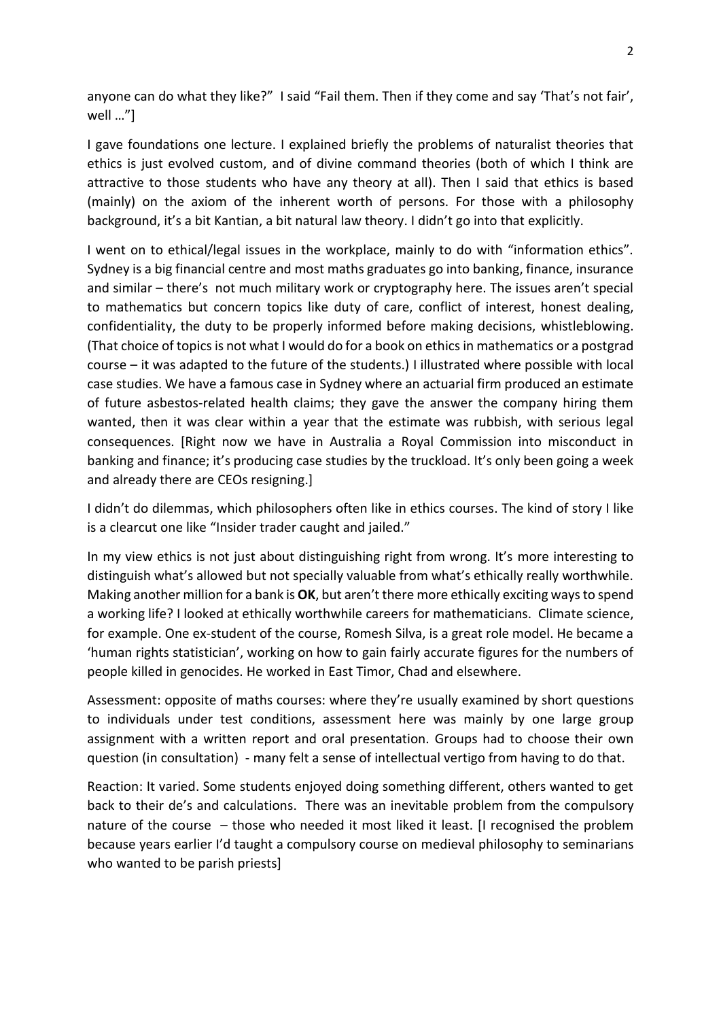anyone can do what they like?" I said "Fail them. Then if they come and say 'That's not fair', well …"]

I gave foundations one lecture. I explained briefly the problems of naturalist theories that ethics is just evolved custom, and of divine command theories (both of which I think are attractive to those students who have any theory at all). Then I said that ethics is based (mainly) on the axiom of the inherent worth of persons. For those with a philosophy background, it's a bit Kantian, a bit natural law theory. I didn't go into that explicitly.

I went on to ethical/legal issues in the workplace, mainly to do with "information ethics". Sydney is a big financial centre and most maths graduates go into banking, finance, insurance and similar – there's not much military work or cryptography here. The issues aren't special to mathematics but concern topics like duty of care, conflict of interest, honest dealing, confidentiality, the duty to be properly informed before making decisions, whistleblowing. (That choice of topicsis not what I would do for a book on ethics in mathematics or a postgrad course – it was adapted to the future of the students.) I illustrated where possible with local case studies. We have a famous case in Sydney where an actuarial firm produced an estimate of future asbestos-related health claims; they gave the answer the company hiring them wanted, then it was clear within a year that the estimate was rubbish, with serious legal consequences. [Right now we have in Australia a Royal Commission into misconduct in banking and finance; it's producing case studies by the truckload. It's only been going a week and already there are CEOs resigning.]

I didn't do dilemmas, which philosophers often like in ethics courses. The kind of story I like is a clearcut one like "Insider trader caught and jailed."

In my view ethics is not just about distinguishing right from wrong. It's more interesting to distinguish what's allowed but not specially valuable from what's ethically really worthwhile. Making another million for a bank is **OK**, but aren't there more ethically exciting ways to spend a working life? I looked at ethically worthwhile careers for mathematicians. Climate science, for example. One ex-student of the course, Romesh Silva, is a great role model. He became a 'human rights statistician', working on how to gain fairly accurate figures for the numbers of people killed in genocides. He worked in East Timor, Chad and elsewhere.

Assessment: opposite of maths courses: where they're usually examined by short questions to individuals under test conditions, assessment here was mainly by one large group assignment with a written report and oral presentation. Groups had to choose their own question (in consultation) - many felt a sense of intellectual vertigo from having to do that.

Reaction: It varied. Some students enjoyed doing something different, others wanted to get back to their de's and calculations. There was an inevitable problem from the compulsory nature of the course – those who needed it most liked it least. [I recognised the problem because years earlier I'd taught a compulsory course on medieval philosophy to seminarians who wanted to be parish priests]